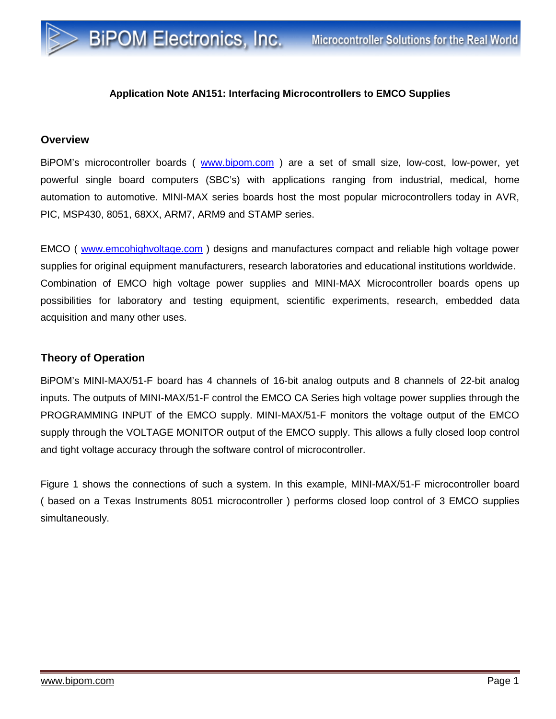## **Application Note AN151: Interfacing Microcontrollers to EMCO Supplies**

**BiPOM Electronics, Inc.** 

## **Overview**

BiPOM's microcontroller boards ( [www.bipom.com](http://www.bipom.com) ) are a set of small size, low-cost, low-power, yet powerful single board computers (SBC's) with applications ranging from industrial, medical, home automation to automotive. MINI-MAX series boards host the most popular microcontrollers today in AVR, PIC, MSP430, 8051, 68XX, ARM7, ARM9 and STAMP series.

EMCO ( [www.emcohighvoltage.com](http://www.emcohighvoltage.com) ) designs and manufactures compact and reliable high voltage power supplies for original equipment manufacturers, research laboratories and educational institutions worldwide. Combination of EMCO high voltage power supplies and MINI-MAX Microcontroller boards opens up possibilities for laboratory and testing equipment, scientific experiments, research, embedded data acquisition and many other uses.

## **Theory of Operation**

BiPOM's MINI-MAX/51-F board has 4 channels of 16-bit analog outputs and 8 channels of 22-bit analog inputs. The outputs of MINI-MAX/51-F control the EMCO CA Series high voltage power supplies through the PROGRAMMING INPUT of the EMCO supply. MINI-MAX/51-F monitors the voltage output of the EMCO supply through the VOLTAGE MONITOR output of the EMCO supply. This allows a fully closed loop control and tight voltage accuracy through the software control of microcontroller.

Figure 1 shows the connections of such a system. In this example, MINI-MAX/51-F microcontroller board ( based on a Texas Instruments 8051 microcontroller ) performs closed loop control of 3 EMCO supplies simultaneously.